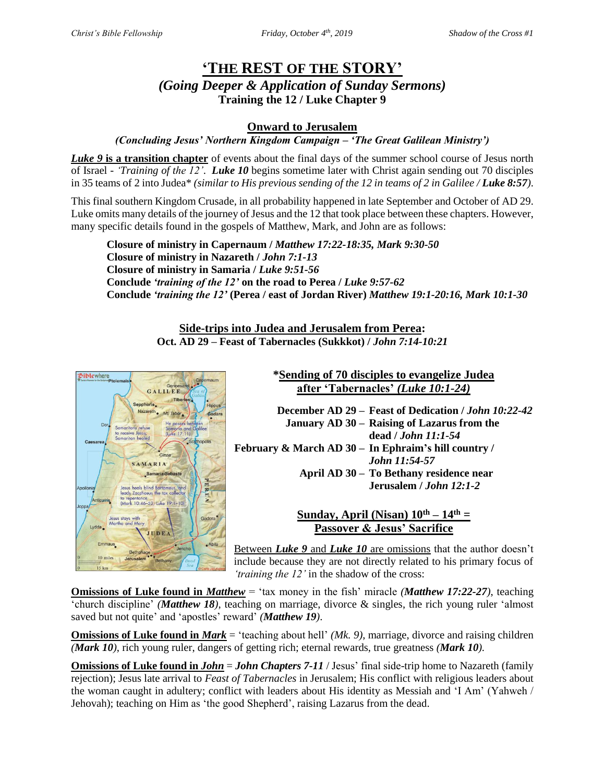# **'THE REST OF THE STORY'** *(Going Deeper & Application of Sunday Sermons)* **Training the 12 / Luke Chapter 9**

## **Onward to Jerusalem**

### *(Concluding Jesus' Northern Kingdom Campaign – 'The Great Galilean Ministry')*

*Luke 9* **is a transition chapter** of events about the final days of the summer school course of Jesus north of Israel - *'Training of the 12'*. *Luke 10* begins sometime later with Christ again sending out 70 disciples in 35 teams of 2 into Judea\* *(similar to His previous sending of the 12 in teams of 2 in Galilee / Luke 8:57).* 

This final southern Kingdom Crusade, in all probability happened in late September and October of AD 29. Luke omits many details of the journey of Jesus and the 12 that took place between these chapters. However, many specific details found in the gospels of Matthew, Mark, and John are as follows:

**Closure of ministry in Capernaum /** *Matthew 17:22-18:35, Mark 9:30-50* **Closure of ministry in Nazareth /** *John 7:1-13* **Closure of ministry in Samaria /** *Luke 9:51-56* **Conclude** *'training of the 12'* **on the road to Perea /** *Luke 9:57-62* **Conclude** *'training the 12'* **(Perea / east of Jordan River)** *Matthew 19:1-20:16, Mark 10:1-30*

> **Side-trips into Judea and Jerusalem from Perea: Oct. AD 29 – Feast of Tabernacles (Sukkkot) /** *John 7:14-10:21*



**\*Sending of 70 disciples to evangelize Judea after 'Tabernacles'** *(Luke 10:1-24)*

**December AD 29 – Feast of Dedication /** *John 10:22-42* **January AD 30 – Raising of Lazarus from the dead /** *John 11:1-54* **February & March AD 30 – In Ephraim's hill country /**  *John 11:54-57* **April AD 30 – To Bethany residence near Jerusalem /** *John 12:1-2*

### **Sunday, April (Nisan)**  $10^{\text{th}} - 14^{\text{th}} =$ **Passover & Jesus' Sacrifice**

Between *Luke 9* and *Luke 10* are omissions that the author doesn't include because they are not directly related to his primary focus of *'training the 12'* in the shadow of the cross:

**Omissions of Luke found in** *Matthew* = 'tax money in the fish' miracle *(Matthew 17:22-27)*, teaching 'church discipline' *(Matthew 18)*, teaching on marriage, divorce & singles, the rich young ruler 'almost saved but not quite' and 'apostles' reward' *(Matthew 19)*.

**Omissions of Luke found in** *Mark* = 'teaching about hell' *(Mk. 9)*, marriage, divorce and raising children *(Mark 10)*, rich young ruler, dangers of getting rich; eternal rewards, true greatness *(Mark 10).*

**Omissions of Luke found in** *John* = *John Chapters* 7-11 / Jesus' final side-trip home to Nazareth (family rejection); Jesus late arrival to *Feast of Tabernacles* in Jerusalem; His conflict with religious leaders about the woman caught in adultery; conflict with leaders about His identity as Messiah and 'I Am' (Yahweh / Jehovah); teaching on Him as 'the good Shepherd', raising Lazarus from the dead.